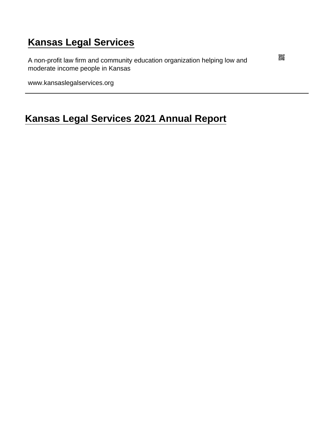# [Kansas Legal Services](https://www.kansaslegalservices.org/)

A non-profit law firm and community education organization helping low and moderate income people in Kansas

www.kansaslegalservices.org

# [Kansas Legal Services 2021 Annual Report](https://www.kansaslegalservices.org/node/kls-2021-annual-report)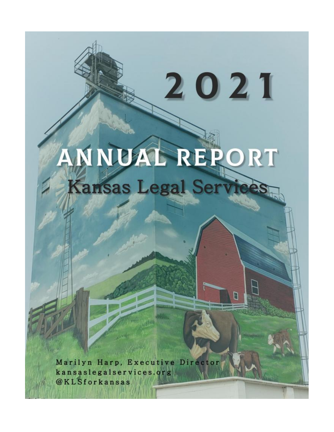# ANNUAL REPORT Kansas Legal Service

2021

Marilyn Harp, Executive Director kansaslegalservices.org @KLSforkansas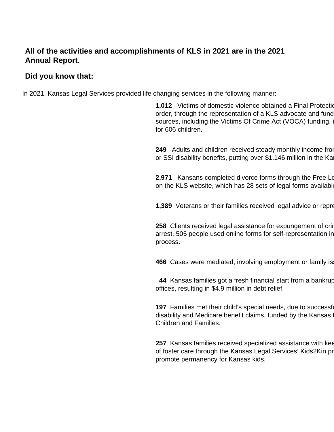## **All of the activities and accomplishments of KLS in 2021 are in the 2021 Annual Report.**

#### **Did you know that:**

In 2021, Kansas Legal Services provided life changing services in the following manner:

**1,012** Victims of domestic violence obtained a Final Protection order, through the representation of a KLS advocate and fund sources, including the Victims Of Crime Act (VOCA) funding, in for 606 children.

**249** Adults and children received steady monthly income from or SSI disability benefits, putting over \$1.146 million in the Ka

**2,971** Kansans completed divorce forms through the Free Leg on the KLS website, which has 28 sets of legal forms available

**1,389** Veterans or their families received legal advice or repre

**258** Clients received legal assistance for expungement of crin arrest, 505 people used online forms for self-representation in process.

**466** Cases were mediated, involving employment or family is

**44** Kansas families got a fresh financial start from a bankruptcy offices, resulting in \$4.9 million in debt relief.

**197** Families met their child's special needs, due to successf disability and Medicare benefit claims, funded by the Kansas I Children and Families.

**257** Kansas families received specialized assistance with kee of foster care through the Kansas Legal Services' Kids2Kin program promote permanency for Kansas kids.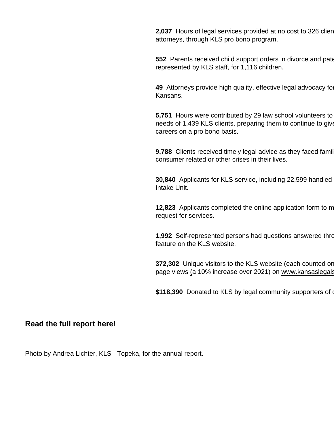2,037 Hours of legal services provided at no cost to 326 clien attorneys, through KLS pro bono program.

552 Parents received child support orders in divorce and pate represented by KLS staff, for 1,116 children.

49 Attorneys provide high quality, effective legal advocacy for Kansans.

5,751 Hours were contributed by 29 law school volunteers to needs of 1,439 KLS clients, preparing them to continue to give careers on a pro bono basis.

9,788 Clients received timely legal advice as they faced famil consumer related or other crises in their lives.

30,840 Applicants for KLS service, including 22,599 handled Intake Unit.

12,823 Applicants completed the online application form to m request for services.

1,992 Self-represented persons had questions answered through the feature on the KLS website.

372,302 Unique visitors to the KLS website (each counted or page views (a 10% increase over 2021) on www.kansaslegals

\$118,390 Donated to KLS by legal community supporters of our

[Read the full report here!](https://www.kansaslegalservices.org/sites/kansaslegalservices.org/files/2021 KLS Annual Report final 05-15-2022_0.pdf)

Photo by Andrea Lichter, KLS - Topeka, for the annual report.